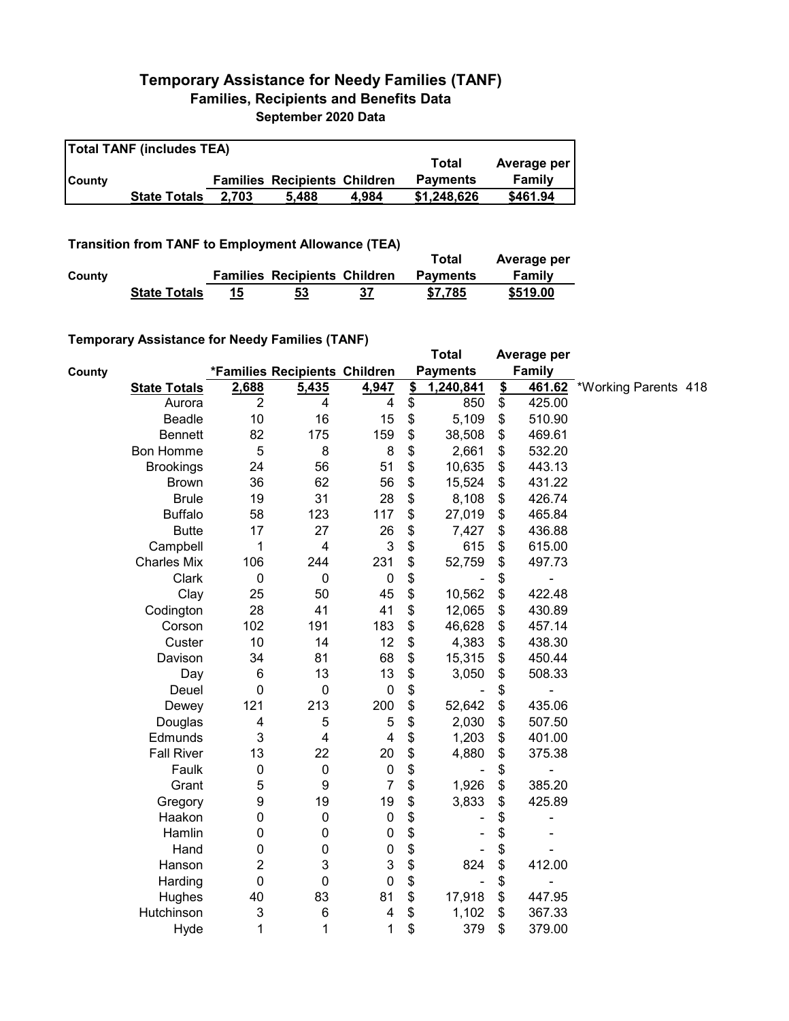## **Temporary Assistance for Needy Families (TANF) Families, Recipients and Benefits Data September 2020 Data**

| <b>Total TANF (includes TEA)</b> |                     |       |                                     |       |                 |             |  |  |
|----------------------------------|---------------------|-------|-------------------------------------|-------|-----------------|-------------|--|--|
|                                  |                     |       |                                     |       | Total           | Average per |  |  |
| <b>County</b>                    |                     |       | <b>Families Recipients Children</b> |       | <b>Payments</b> | Family      |  |  |
|                                  | <b>State Totals</b> | 2.703 | 5.488                               | 4.984 | \$1,248,626     | \$461.94    |  |  |

**Transition from TANF to Employment Allowance (TEA)**

|        | <b>ITAIISIUVII IIVIII TANT LO EIIIPIOVIIIEIIL AIIUWAIICE (TEA)</b> |    | Total                               | Average per |                 |          |  |
|--------|--------------------------------------------------------------------|----|-------------------------------------|-------------|-----------------|----------|--|
| County |                                                                    |    | <b>Families Recipients Children</b> |             | <b>Payments</b> | Family   |  |
|        | <b>State Totals</b>                                                | 15 | 53                                  | 37          | \$7.785         | \$519.00 |  |

## **Temporary Assistance for Needy Families (TANF)**

|        | $\frac{1}{2}$ componently resolved to the recent resolution of $\frac{1}{2}$ |                  |                               |                |               | <b>Total</b>                 |               | Average per   |                      |  |
|--------|------------------------------------------------------------------------------|------------------|-------------------------------|----------------|---------------|------------------------------|---------------|---------------|----------------------|--|
| County |                                                                              |                  | *Families Recipients Children |                |               | <b>Payments</b>              |               | <b>Family</b> |                      |  |
|        | <b>State Totals</b>                                                          | 2,688            | 5,435                         | 4,947          | $\frac{2}{3}$ | 1,240,841                    | $\frac{2}{2}$ | 461.62        | *Working Parents 418 |  |
|        | Aurora                                                                       | $\overline{2}$   | 4                             | 4              | \$            | 850                          | \$            | 425.00        |                      |  |
|        | Beadle                                                                       | 10               | 16                            | 15             | \$            | 5,109                        | \$            | 510.90        |                      |  |
|        | <b>Bennett</b>                                                               | 82               | 175                           | 159            | \$            | 38,508                       | \$            | 469.61        |                      |  |
|        | Bon Homme                                                                    | $\mathbf 5$      | 8                             | 8              | \$            | 2,661                        | \$            | 532.20        |                      |  |
|        | <b>Brookings</b>                                                             | 24               | 56                            | 51             | \$            | 10,635                       | \$            | 443.13        |                      |  |
|        | <b>Brown</b>                                                                 | 36               | 62                            | 56             | \$            | 15,524                       | \$            | 431.22        |                      |  |
|        | <b>Brule</b>                                                                 | 19               | 31                            | 28             | \$            | 8,108                        | \$            | 426.74        |                      |  |
|        | <b>Buffalo</b>                                                               | 58               | 123                           | 117            | \$            | 27,019                       | \$            | 465.84        |                      |  |
|        | <b>Butte</b>                                                                 | 17               | 27                            | 26             | \$            | 7,427                        | \$            | 436.88        |                      |  |
|        | Campbell                                                                     | 1                | $\overline{4}$                | 3              | \$            | 615                          | \$            | 615.00        |                      |  |
|        | <b>Charles Mix</b>                                                           | 106              | 244                           | 231            | \$            | 52,759                       | \$            | 497.73        |                      |  |
|        | Clark                                                                        | $\mathbf 0$      | $\mathbf 0$                   | $\mathbf 0$    | \$            |                              | \$            |               |                      |  |
|        | Clay                                                                         | 25               | 50                            | 45             | \$            | 10,562                       | \$            | 422.48        |                      |  |
|        | Codington                                                                    | 28               | 41                            | 41             | \$            | 12,065                       | \$            | 430.89        |                      |  |
|        | Corson                                                                       | 102              | 191                           | 183            | \$            | 46,628                       | \$            | 457.14        |                      |  |
|        | Custer                                                                       | 10               | 14                            | 12             | \$            | 4,383                        | \$            | 438.30        |                      |  |
|        | Davison                                                                      | 34               | 81                            | 68             | \$            | 15,315                       | \$            | 450.44        |                      |  |
|        | Day                                                                          | 6                | 13                            | 13             | \$            | 3,050                        | \$            | 508.33        |                      |  |
|        | Deuel                                                                        | $\mathbf 0$      | $\pmb{0}$                     | $\pmb{0}$      | \$            |                              | \$            |               |                      |  |
|        | Dewey                                                                        | 121              | 213                           | 200            | \$            | 52,642                       | \$            | 435.06        |                      |  |
|        | Douglas                                                                      | 4                | 5                             | 5              | \$            | 2,030                        | \$            | 507.50        |                      |  |
|        | Edmunds                                                                      | 3                | $\overline{\mathbf{4}}$       | 4              | \$            | 1,203                        | \$            | 401.00        |                      |  |
|        | <b>Fall River</b>                                                            | 13               | 22                            | 20             | \$            | 4,880                        | \$            | 375.38        |                      |  |
|        | Faulk                                                                        | $\boldsymbol{0}$ | $\pmb{0}$                     | $\pmb{0}$      | \$            |                              | \$            |               |                      |  |
|        | Grant                                                                        | 5                | $\boldsymbol{9}$              | $\overline{7}$ | \$            | 1,926                        | \$            | 385.20        |                      |  |
|        | Gregory                                                                      | 9                | 19                            | 19             | \$            | 3,833                        | \$            | 425.89        |                      |  |
|        | Haakon                                                                       | 0                | $\pmb{0}$                     | $\pmb{0}$      | \$            |                              | \$            |               |                      |  |
|        | Hamlin                                                                       | 0                | 0                             | $\pmb{0}$      | \$            |                              | \$            |               |                      |  |
|        | Hand                                                                         | 0                | $\pmb{0}$                     | $\pmb{0}$      | \$            |                              | \$            |               |                      |  |
|        | Hanson                                                                       | $\boldsymbol{2}$ | 3                             | 3              | \$            | 824                          | \$            | 412.00        |                      |  |
|        | Harding                                                                      | $\mathbf 0$      | $\pmb{0}$                     | 0              | \$            | $\qquad \qquad \blacksquare$ | \$            |               |                      |  |
|        | Hughes                                                                       | 40               | 83                            | 81             | \$            | 17,918                       | \$            | 447.95        |                      |  |
|        | Hutchinson                                                                   | 3                | 6                             | 4              | \$            | 1,102                        | \$            | 367.33        |                      |  |
|        | Hyde                                                                         | 1                | 1                             | 1              | \$            | 379                          | \$            | 379.00        |                      |  |